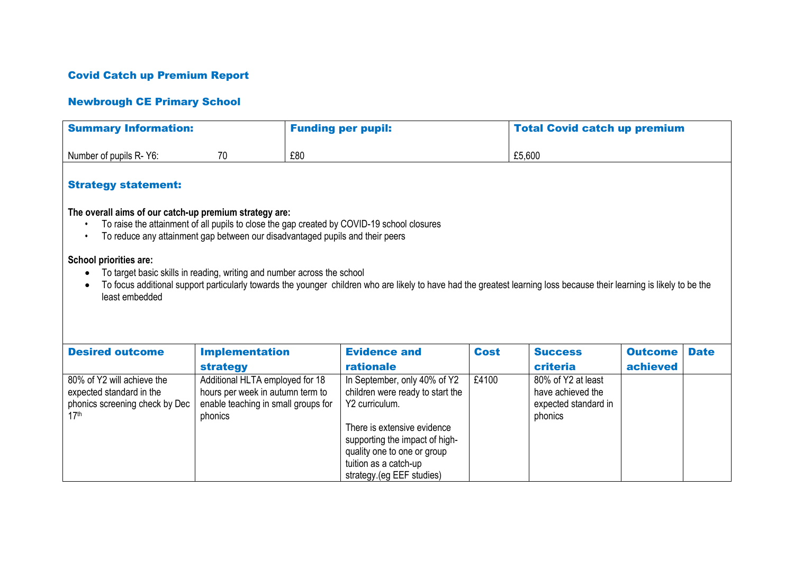## Covid Catch up Premium Report

## Newbrough CE Primary School

| <b>Summary Information:</b>                                                                                                                                                                                                                                                                   |                                     | <b>Funding per pupil:</b> |                                  | <b>Total Covid catch up premium</b> |                      |                |             |  |  |  |  |  |
|-----------------------------------------------------------------------------------------------------------------------------------------------------------------------------------------------------------------------------------------------------------------------------------------------|-------------------------------------|---------------------------|----------------------------------|-------------------------------------|----------------------|----------------|-------------|--|--|--|--|--|
| £80<br>Number of pupils R-Y6:<br>70                                                                                                                                                                                                                                                           |                                     |                           |                                  |                                     | £5,600               |                |             |  |  |  |  |  |
| <b>Strategy statement:</b>                                                                                                                                                                                                                                                                    |                                     |                           |                                  |                                     |                      |                |             |  |  |  |  |  |
| The overall aims of our catch-up premium strategy are:<br>To raise the attainment of all pupils to close the gap created by COVID-19 school closures<br>To reduce any attainment gap between our disadvantaged pupils and their peers                                                         |                                     |                           |                                  |                                     |                      |                |             |  |  |  |  |  |
| School priorities are:<br>To target basic skills in reading, writing and number across the school<br>To focus additional support particularly towards the younger children who are likely to have had the greatest learning loss because their learning is likely to be the<br>least embedded |                                     |                           |                                  |                                     |                      |                |             |  |  |  |  |  |
| <b>Desired outcome</b>                                                                                                                                                                                                                                                                        | <b>Implementation</b>               |                           | <b>Evidence and</b>              | <b>Cost</b>                         | <b>Success</b>       | <b>Outcome</b> | <b>Date</b> |  |  |  |  |  |
|                                                                                                                                                                                                                                                                                               | <b>strategy</b>                     |                           | rationale                        |                                     | criteria             | achieved       |             |  |  |  |  |  |
| 80% of Y2 will achieve the                                                                                                                                                                                                                                                                    | Additional HLTA employed for 18     |                           | In September, only 40% of Y2     | £4100                               | 80% of Y2 at least   |                |             |  |  |  |  |  |
| expected standard in the                                                                                                                                                                                                                                                                      | hours per week in autumn term to    |                           | children were ready to start the |                                     | have achieved the    |                |             |  |  |  |  |  |
| phonics screening check by Dec                                                                                                                                                                                                                                                                | enable teaching in small groups for |                           | Y2 curriculum.                   |                                     | expected standard in |                |             |  |  |  |  |  |
| 17 <sup>th</sup>                                                                                                                                                                                                                                                                              | phonics                             |                           | There is extensive evidence      |                                     | phonics              |                |             |  |  |  |  |  |
|                                                                                                                                                                                                                                                                                               |                                     |                           | supporting the impact of high-   |                                     |                      |                |             |  |  |  |  |  |
|                                                                                                                                                                                                                                                                                               |                                     |                           | quality one to one or group      |                                     |                      |                |             |  |  |  |  |  |
|                                                                                                                                                                                                                                                                                               |                                     |                           | tuition as a catch-up            |                                     |                      |                |             |  |  |  |  |  |
|                                                                                                                                                                                                                                                                                               |                                     |                           | strategy.(eg EEF studies)        |                                     |                      |                |             |  |  |  |  |  |